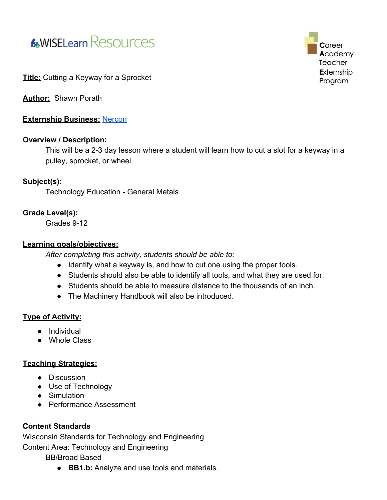



#### **Title:** Cutting a Keyway for a Sprocket

**Author:** Shawn Porath

**Externship Business:** [Nercon](https://www.nerconconveyors.com/Nercon.htm)

#### **Overview / Description:**

This will be a 2-3 day lesson where a student will learn how to cut a slot for a keyway in a pulley, sprocket, or wheel.

#### **Subject(s):**

Technology Education - General Metals

#### **Grade Level(s):**

Grades 9-12

#### **Learning goals/objectives:**

*After completing this activity, students should be able to:*

- Identify what a keyway is, and how to cut one using the proper tools.
- Students should also be able to identify all tools, and what they are used for.
- Students should be able to measure distance to the thousands of an inch.
- The Machinery Handbook will also be introduced.

### **Type of Activity:**

- Individual
- Whole Class

#### **Teaching Strategies:**

- Discussion
- Use of Technology
- Simulation
- Performance Assessment

### **Content Standards**

WIsconsin Standards for Technology and Engineering

Content Area: Technology and Engineering

BB/Broad Based

● **BB1.b:** Analyze and use tools and materials.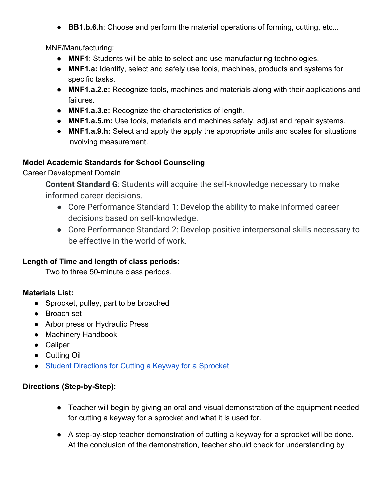● **BB1.b.6.h**: Choose and perform the material operations of forming, cutting, etc...

MNF/Manufacturing:

- **MNF1**: Students will be able to select and use manufacturing technologies.
- **MNF1.a:** Identify, select and safely use tools, machines, products and systems for specific tasks.
- **MNF1.a.2.e:** Recognize tools, machines and materials along with their applications and failures.
- **MNF1.a.3.e:** Recognize the characteristics of length.
- **MNF1.a.5.m:** Use tools, materials and machines safely, adjust and repair systems.
- **MNF1.a.9.h:** Select and apply the apply the appropriate units and scales for situations involving measurement.

# **Model Academic Standards for School Counseling**

Career Development Domain

**Content Standard G**: Students will acquire the self-knowledge necessary to make informed career decisions.

- Core Performance Standard 1: Develop the ability to make informed career decisions based on self-knowledge.
- Core Performance Standard 2: Develop positive interpersonal skills necessary to be effective in the world of work.

# **Length of Time and length of class periods:**

Two to three 50-minute class periods.

# **Materials List:**

- Sprocket, pulley, part to be broached
- Broach set
- Arbor press or Hydraulic Press
- Machinery Handbook
- Caliper
- Cutting Oil
- [Student Directions for Cutting a Keyway for a Sprocket](#page-3-0)

# **Directions (Step-by-Step):**

- Teacher will begin by giving an oral and visual demonstration of the equipment needed for cutting a keyway for a sprocket and what it is used for.
- A step-by-step teacher demonstration of cutting a keyway for a sprocket will be done. At the conclusion of the demonstration, teacher should check for understanding by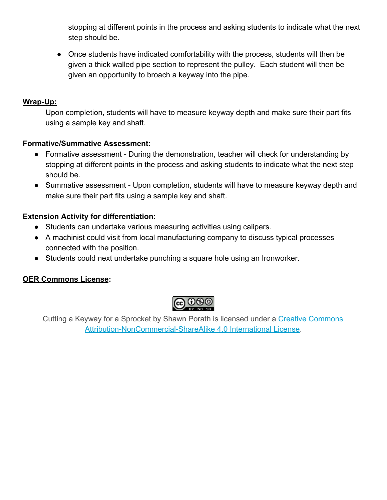stopping at different points in the process and asking students to indicate what the next step should be.

• Once students have indicated comfortability with the process, students will then be given a thick walled pipe section to represent the pulley. Each student will then be given an opportunity to broach a keyway into the pipe.

# **Wrap-Up:**

Upon completion, students will have to measure keyway depth and make sure their part fits using a sample key and shaft.

### **Formative/Summative Assessment:**

- Formative assessment During the demonstration, teacher will check for understanding by stopping at different points in the process and asking students to indicate what the next step should be.
- Summative assessment Upon completion, students will have to measure keyway depth and make sure their part fits using a sample key and shaft.

### **Extension Activity for differentiation:**

- Students can undertake various measuring activities using calipers.
- A machinist could visit from local manufacturing company to discuss typical processes connected with the position.
- Students could next undertake punching a square hole using an Ironworker.

# **OER Commons License:**



Cutting a Keyway for a Sprocket by Shawn Porath is licensed under a [Creative Commons](http://creativecommons.org/licenses/by-nc-sa/4.0/) [Attribution-NonCommercial-ShareAlike 4.0 International License.](http://creativecommons.org/licenses/by-nc-sa/4.0/)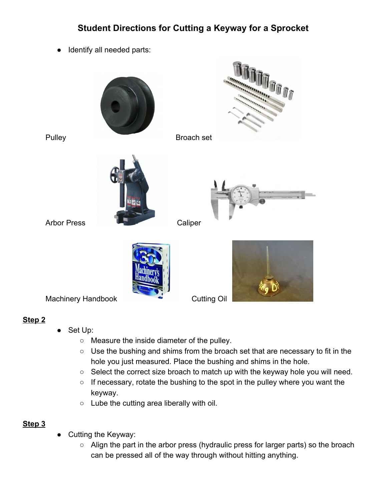# <span id="page-3-0"></span>**Student Directions for Cutting a Keyway for a Sprocket**

● Identify all needed parts:



### **Step 2**

- Set Up:
	- Measure the inside diameter of the pulley.
	- Use the bushing and shims from the broach set that are necessary to fit in the hole you just measured. Place the bushing and shims in the hole.
	- Select the correct size broach to match up with the keyway hole you will need.
	- $\circ$  If necessary, rotate the bushing to the spot in the pulley where you want the keyway.
	- Lube the cutting area liberally with oil.

# **Step 3**

- Cutting the Keyway:
	- Align the part in the arbor press (hydraulic press for larger parts) so the broach can be pressed all of the way through without hitting anything.